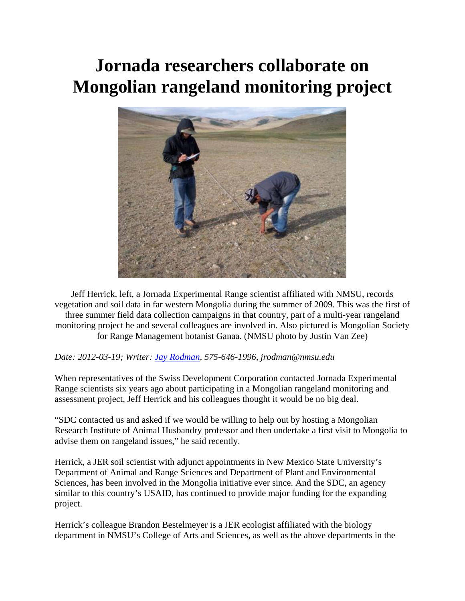## **Jornada researchers collaborate on Mongolian rangeland monitoring project**



Jeff Herrick, left, a Jornada Experimental Range scientist affiliated with NMSU, records vegetation and soil data in far western Mongolia during the summer of 2009. This was the first of three summer field data collection campaigns in that country, part of a multi-year rangeland monitoring project he and several colleagues are involved in. Also pictured is Mongolian Society for Range Management botanist Ganaa. (NMSU photo by Justin Van Zee)

## *Date: 2012-03-19; Writer: [Jay Rodman,](http://newscenter.nmsu.edu/news/author/show/?id=149) 575-646-1996, jrodman@nmsu.edu*

When representatives of the Swiss Development Corporation contacted Jornada Experimental Range scientists six years ago about participating in a Mongolian rangeland monitoring and assessment project, Jeff Herrick and his colleagues thought it would be no big deal.

"SDC contacted us and asked if we would be willing to help out by hosting a Mongolian Research Institute of Animal Husbandry professor and then undertake a first visit to Mongolia to advise them on rangeland issues," he said recently.

Herrick, a JER soil scientist with adjunct appointments in New Mexico State University's Department of Animal and Range Sciences and Department of Plant and Environmental Sciences, has been involved in the Mongolia initiative ever since. And the SDC, an agency similar to this country's USAID, has continued to provide major funding for the expanding project.

Herrick's colleague Brandon Bestelmeyer is a JER ecologist affiliated with the biology department in NMSU's College of Arts and Sciences, as well as the above departments in the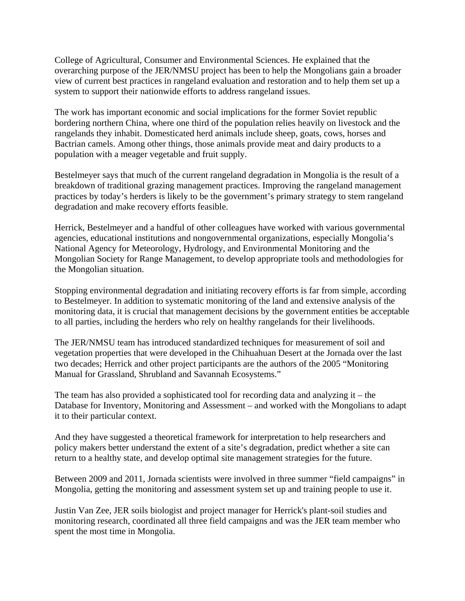College of Agricultural, Consumer and Environmental Sciences. He explained that the overarching purpose of the JER/NMSU project has been to help the Mongolians gain a broader view of current best practices in rangeland evaluation and restoration and to help them set up a system to support their nationwide efforts to address rangeland issues.

The work has important economic and social implications for the former Soviet republic bordering northern China, where one third of the population relies heavily on livestock and the rangelands they inhabit. Domesticated herd animals include sheep, goats, cows, horses and Bactrian camels. Among other things, those animals provide meat and dairy products to a population with a meager vegetable and fruit supply.

Bestelmeyer says that much of the current rangeland degradation in Mongolia is the result of a breakdown of traditional grazing management practices. Improving the rangeland management practices by today's herders is likely to be the government's primary strategy to stem rangeland degradation and make recovery efforts feasible.

Herrick, Bestelmeyer and a handful of other colleagues have worked with various governmental agencies, educational institutions and nongovernmental organizations, especially Mongolia's National Agency for Meteorology, Hydrology, and Environmental Monitoring and the Mongolian Society for Range Management, to develop appropriate tools and methodologies for the Mongolian situation.

Stopping environmental degradation and initiating recovery efforts is far from simple, according to Bestelmeyer. In addition to systematic monitoring of the land and extensive analysis of the monitoring data, it is crucial that management decisions by the government entities be acceptable to all parties, including the herders who rely on healthy rangelands for their livelihoods.

The JER/NMSU team has introduced standardized techniques for measurement of soil and vegetation properties that were developed in the Chihuahuan Desert at the Jornada over the last two decades; Herrick and other project participants are the authors of the 2005 "Monitoring Manual for Grassland, Shrubland and Savannah Ecosystems."

The team has also provided a sophisticated tool for recording data and analyzing it – the Database for Inventory, Monitoring and Assessment – and worked with the Mongolians to adapt it to their particular context.

And they have suggested a theoretical framework for interpretation to help researchers and policy makers better understand the extent of a site's degradation, predict whether a site can return to a healthy state, and develop optimal site management strategies for the future.

Between 2009 and 2011, Jornada scientists were involved in three summer "field campaigns" in Mongolia, getting the monitoring and assessment system set up and training people to use it.

Justin Van Zee, JER soils biologist and project manager for Herrick's plant-soil studies and monitoring research, coordinated all three field campaigns and was the JER team member who spent the most time in Mongolia.